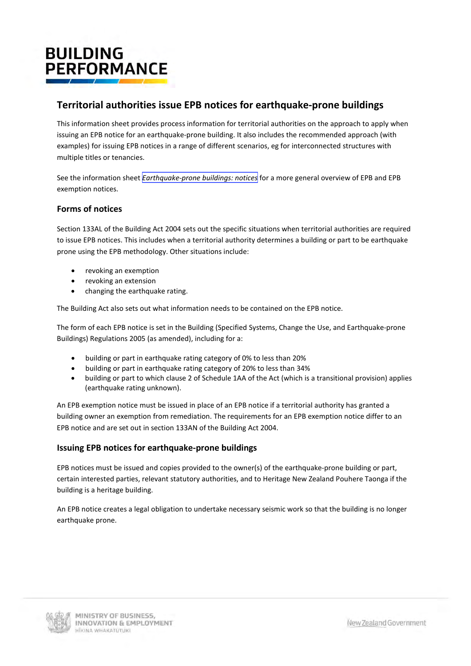# **BUILDING PERFORMANCE**

## **Territorial authorities issue EPB notices for earthquake-prone buildings**

This information sheet provides process information for territorial authorities on the approach to apply when issuing an EPB notice for an earthquake-prone building. It also includes the recommended approach (with examples) for issuing EPB notices in a range of different scenarios, eg for interconnected structures with multiple titles or tenancies.

See the information sheet *[Earthquake-prone buildings: notices](https://www.building.govt.nz/assets/Uploads/managing-buildings/earthquake-prone-buildings/epb-notices.pdf)* for a more general overview of EPB and EPB exemption notices.

## **Forms of notices**

Section 133AL of the Building Act 2004 sets out the specific situations when territorial authorities are required to issue EPB notices. This includes when a territorial authority determines a building or part to be earthquake prone using the EPB methodology. Other situations include:

- revoking an exemption
- revoking an extension
- • changing the earthquake rating.

The Building Act also sets out what information needs to be contained on the EPB notice.

The form of each EPB notice is set in the Building (Specified Systems, Change the Use, and Earthquake-prone Buildings) Regulations 2005 (as amended), including for a:

- building or part in earthquake rating category of 0% to less than 20%
- • building or part in earthquake rating category of 20% to less than 34%
- • building or part to which clause 2 of Schedule 1AA of the Act (which is a transitional provision) applies (earthquake rating unknown).

An EPB exemption notice must be issued in place of an EPB notice if a territorial authority has granted a building owner an exemption from remediation. The requirements for an EPB exemption notice differ to an EPB notice and are set out in section 133AN of the Building Act 2004.

## **Issuing EPB notices for earthquake-prone buildings**

EPB notices must be issued and copies provided to the owner(s) of the earthquake-prone building or part, certain interested parties, relevant statutory authorities, and to Heritage New Zealand Pouhere Taonga if the building is a heritage building.

An EPB notice creates a legal obligation to undertake necessary seismic work so that the building is no longer earthquake prone.

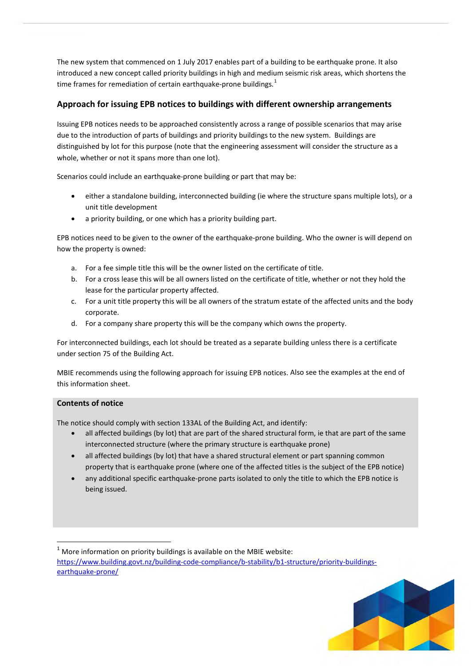time frames for remediation of certain earthquake-prone buildings.<sup>1</sup> The new system that commenced on 1 July 2017 enables part of a building to be earthquake prone. It also introduced a new concept called priority buildings in high and medium seismic risk areas, which shortens the

## **Approach for issuing EPB notices to buildings with different ownership arrangements**

whole, whether or not it spans more than one lot). Issuing EPB notices needs to be approached consistently across a range of possible scenarios that may arise due to the introduction of parts of buildings and priority buildings to the new system. Buildings are distinguished by lot for this purpose (note that the engineering assessment will consider the structure as a

whole, whether or not it spans more than one lot).<br>Scenarios could include an earthquake-prone building or part that may be:

- • either a standalone building, interconnected building (ie where the structure spans multiple lots), or a unit title development
- a priority building, or one which has a priority building part.

• a priority building, or one which has a priority building part. EPB notices need to be given to the owner of the earthquake-prone building. Who the owner is will depend on how the property is owned:

- a. For a fee simple title this will be the owner listed on the certificate of title.
- b. For a cross lease this will be all owners listed on the certificate of title, whether or not they hold the lease for the particular property affected.
- c. For a unit title property this will be all owners of the stratum estate of the affected units and the body corporate.
- d. For a company share property this will be the company which owns the property.

under section 75 of the Building Act. For interconnected buildings, each lot should be treated as a separate building unless there is a certificate

MBIE recommends using the following approach for issuing EPB notices. Also see the examples at the end of this information sheet.

### **Contents of notice**

**.** 

The notice should comply with section 133AL of the Building Act, and identify:

- all affected buildings (by lot) that are part of the shared structural form, ie that are part of the same interconnected structure (where the primary structure is earthquake prone)
- all affected buildings (by lot) that have a shared structural element or part spanning common property that is earthquake prone (where one of the affected titles is the subject of the EPB notice)
- any additional specific earthquake-prone parts isolated to only the title to which the EPB notice is being issued.

<span id="page-1-0"></span> $1$  More information on priority buildings is available on the MBIE website: [https://www.building.govt.nz/building-code-compliance/b-stability/b1-structure/priority-buildings](https://www.building.govt.nz/building-code-compliance/b-stability/b1-structure/priority-buildings-earthquake-prone/)[earthquake-prone/](https://www.building.govt.nz/building-code-compliance/b-stability/b1-structure/priority-buildings-earthquake-prone/) 

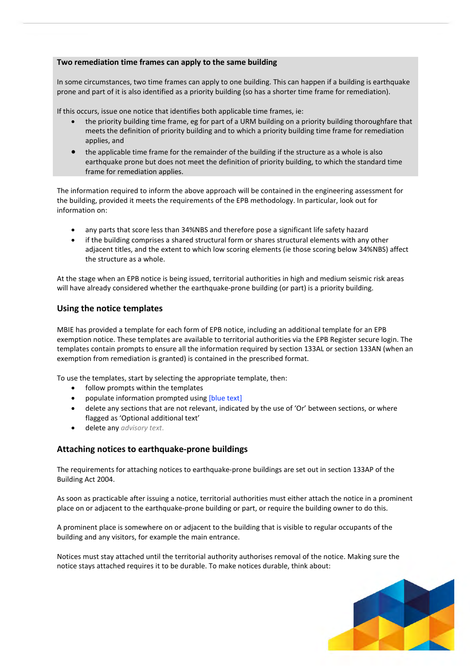#### **Two remediation time frames can apply to the same building**

prone and part of it is also identified as a priority building (so has a shorter time frame for remediation).<br>If this occurs, issue one notice that identifies both applicable time frames, ie: In some circumstances, two time frames can apply to one building. This can happen if a building is earthquake

If this occurs, issue one notice that identifies both applicable time frames, ie:

- applies, and the priority building time frame, eg for part of a URM building on a priority building thoroughfare that meets the definition of priority building and to which a priority building time frame for remediation
- the applicable time frame for the remainder of the building if the structure as a whole is also earthquake prone but does not meet the definition of priority building, to which the standard time frame for remediation applies.

 information on: The information required to inform the above approach will be contained in the engineering assessment for the building, provided it meets the requirements of the EPB methodology. In particular, look out for

- any parts that score less than 34%NBS and therefore pose a significant life safety hazard
- if the building comprises a shared structural form or shares structural elements with any other adjacent titles, and the extent to which low scoring elements (ie those scoring below 34%NBS) affect the structure as a whole.

At the stage when an EPB notice is being issued, territorial authorities in high and medium seismic risk areas will have already considered whether the earthquake-prone building (or part) is a priority building.

## **Using the notice templates**

MBIE has provided a template for each form of EPB notice, including an additional template for an EPB exemption notice. These templates are available to territorial authorities via the EPB Register secure login. The templates contain prompts to ensure all the information required by section 133AL or section 133AN (when an exemption from remediation is granted) is contained in the prescribed format.

To use the templates, start by selecting the appropriate template, then:

- follow prompts within the templates
- populate information prompted using [blue text]
- delete any sections that are not relevant, indicated by the use of 'Or' between sections, or where flagged as 'Optional additional text'
- • delete any *advisory text*.

## **Attaching notices to earthquake-prone buildings**

The requirements for attaching notices to earthquake-prone buildings are set out in section 133AP of the Building Act 2004.

As soon as practicable after issuing a notice, territorial authorities must either attach the notice in a prominent place on or adjacent to the earthquake-prone building or part, or require the building owner to do this.

A prominent place is somewhere on or adjacent to the building that is visible to regular occupants of the building and any visitors, for example the main entrance.

Notices must stay attached until the territorial authority authorises removal of the notice. Making sure the notice stays attached requires it to be durable. To make notices durable, think about:

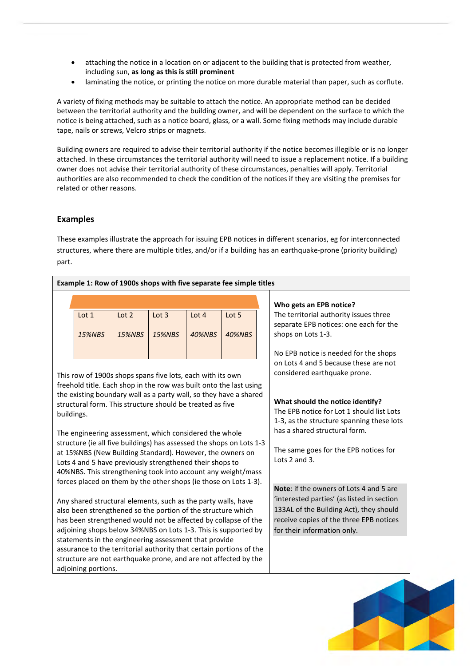- • attaching the notice in a location on or adjacent to the building that is protected from weather, including sun, **as long as this is still prominent**
- • laminating the notice, or printing the notice on more durable material than paper, such as corflute.

A variety of fixing methods may be suitable to attach the notice. An appropriate method can be decided between the territorial authority and the building owner, and will be dependent on the surface to which the notice is being attached, such as a notice board, glass, or a wall. Some fixing methods may include durable tape, nails or screws, Velcro strips or magnets.

Building owners are required to advise their territorial authority if the notice becomes illegible or is no longer attached. In these circumstances the territorial authority will need to issue a replacement notice. If a building owner does not advise their territorial authority of these circumstances, penalties will apply. Territorial authorities are also recommended to check the condition of the notices if they are visiting the premises for related or other reasons.

#### **Examples**

These examples illustrate the approach for issuing EPB notices in different scenarios, eg for interconnected structures, where there are multiple titles, and/or if a building has an earthquake-prone (priority building) part.

| Example 1: Row of 1900s shops with five separate fee simple titles |                                                                                                                                  |               |               |                                         |                                                        |  |                                           |  |  |
|--------------------------------------------------------------------|----------------------------------------------------------------------------------------------------------------------------------|---------------|---------------|-----------------------------------------|--------------------------------------------------------|--|-------------------------------------------|--|--|
|                                                                    |                                                                                                                                  |               |               |                                         | Who gets an EPB notice?                                |  |                                           |  |  |
|                                                                    | Lot 1                                                                                                                            | Lot 2         | Lot $3$       | Lot 4                                   | Lot 5                                                  |  | The territorial authority issues three    |  |  |
|                                                                    |                                                                                                                                  |               |               |                                         |                                                        |  | separate EPB notices: one each for the    |  |  |
|                                                                    | <b>15%NBS</b>                                                                                                                    | <b>15%NBS</b> | <b>15%NBS</b> | 40%NBS                                  | <b>40%NBS</b>                                          |  | shops on Lots 1-3.                        |  |  |
|                                                                    |                                                                                                                                  |               |               |                                         |                                                        |  | No EPB notice is needed for the shops     |  |  |
|                                                                    |                                                                                                                                  |               |               |                                         |                                                        |  | on Lots 4 and 5 because these are not     |  |  |
|                                                                    |                                                                                                                                  |               |               |                                         | considered earthquake prone.                           |  |                                           |  |  |
|                                                                    | This row of 1900s shops spans five lots, each with its own<br>freehold title. Each shop in the row was built onto the last using |               |               |                                         |                                                        |  |                                           |  |  |
|                                                                    | the existing boundary wall as a party wall, so they have a shared                                                                |               |               |                                         |                                                        |  |                                           |  |  |
|                                                                    | structural form. This structure should be treated as five                                                                        |               |               | What should the notice identify?        |                                                        |  |                                           |  |  |
| buildings.                                                         |                                                                                                                                  |               |               |                                         |                                                        |  | The EPB notice for Lot 1 should list Lots |  |  |
|                                                                    |                                                                                                                                  |               |               |                                         | 1-3, as the structure spanning these lots              |  |                                           |  |  |
|                                                                    | The engineering assessment, which considered the whole                                                                           |               |               | has a shared structural form.           |                                                        |  |                                           |  |  |
|                                                                    | structure (ie all five buildings) has assessed the shops on Lots 1-3                                                             |               |               |                                         |                                                        |  |                                           |  |  |
|                                                                    | at 15%NBS (New Building Standard). However, the owners on                                                                        |               |               |                                         | The same goes for the EPB notices for<br>Lots 2 and 3. |  |                                           |  |  |
|                                                                    | Lots 4 and 5 have previously strengthened their shops to                                                                         |               |               |                                         |                                                        |  |                                           |  |  |
|                                                                    | 40%NBS. This strengthening took into account any weight/mass<br>forces placed on them by the other shops (ie those on Lots 1-3). |               |               |                                         |                                                        |  |                                           |  |  |
|                                                                    |                                                                                                                                  |               |               |                                         |                                                        |  | Note: if the owners of Lots 4 and 5 are   |  |  |
|                                                                    | Any shared structural elements, such as the party walls, have                                                                    |               |               |                                         | 'interested parties' (as listed in section             |  |                                           |  |  |
|                                                                    | also been strengthened so the portion of the structure which                                                                     |               |               |                                         | 133AL of the Building Act), they should                |  |                                           |  |  |
|                                                                    | has been strengthened would not be affected by collapse of the                                                                   |               |               | receive copies of the three EPB notices |                                                        |  |                                           |  |  |
|                                                                    | adjoining shops below 34%NBS on Lots 1-3. This is supported by                                                                   |               |               | for their information only.             |                                                        |  |                                           |  |  |
|                                                                    | statements in the engineering assessment that provide                                                                            |               |               |                                         |                                                        |  |                                           |  |  |
|                                                                    | assurance to the territorial authority that certain portions of the                                                              |               |               |                                         |                                                        |  |                                           |  |  |
|                                                                    | structure are not earthquake prone, and are not affected by the                                                                  |               |               |                                         |                                                        |  |                                           |  |  |
|                                                                    | adjoining portions.                                                                                                              |               |               |                                         |                                                        |  |                                           |  |  |

**AV**